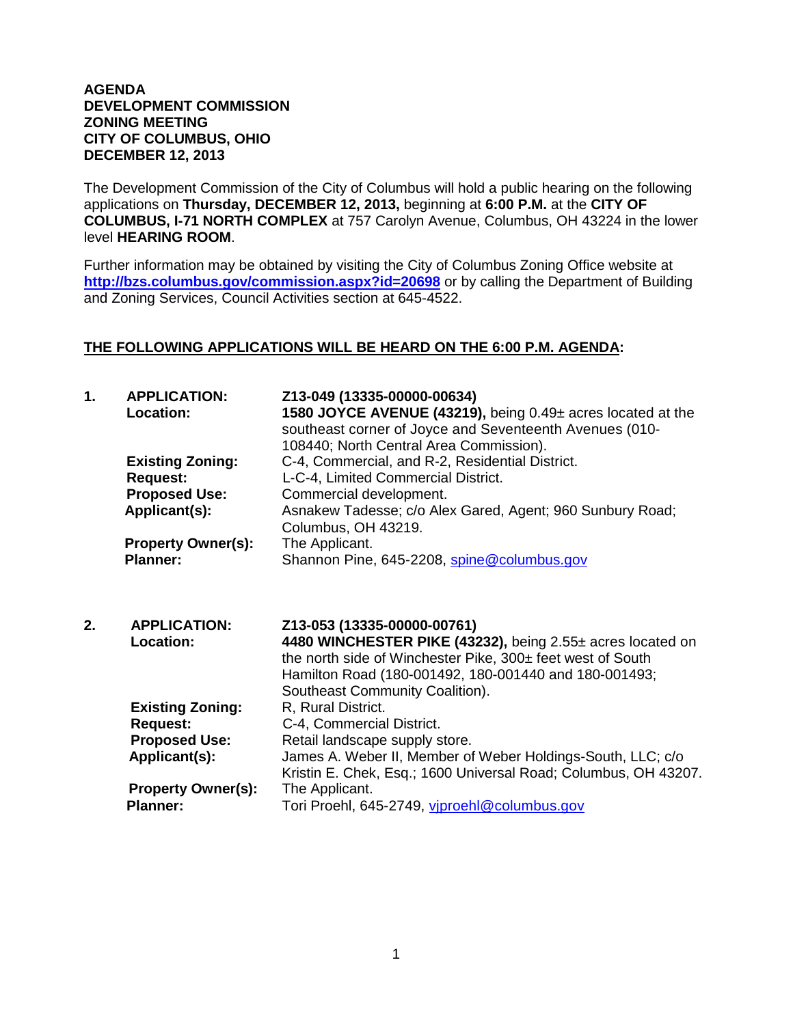## **AGENDA DEVELOPMENT COMMISSION ZONING MEETING CITY OF COLUMBUS, OHIO DECEMBER 12, 2013**

The Development Commission of the City of Columbus will hold a public hearing on the following applications on **Thursday, DECEMBER 12, 2013,** beginning at **6:00 P.M.** at the **CITY OF COLUMBUS, I-71 NORTH COMPLEX** at 757 Carolyn Avenue, Columbus, OH 43224 in the lower level **HEARING ROOM**.

Further information may be obtained by visiting the City of Columbus Zoning Office website at **http://bzs.columbus.gov/commission.aspx?id=20698** or by calling the Department of Building and Zoning Services, Council Activities section at 645-4522.

## **THE FOLLOWING APPLICATIONS WILL BE HEARD ON THE 6:00 P.M. AGENDA:**

| 1. | <b>APPLICATION:</b><br>Location:<br><b>Existing Zoning:</b> | Z13-049 (13335-00000-00634)<br>1580 JOYCE AVENUE (43219), being 0.49± acres located at the<br>southeast corner of Joyce and Seventeenth Avenues (010-<br>108440; North Central Area Commission).<br>C-4, Commercial, and R-2, Residential District. |
|----|-------------------------------------------------------------|-----------------------------------------------------------------------------------------------------------------------------------------------------------------------------------------------------------------------------------------------------|
|    | <b>Request:</b>                                             | L-C-4, Limited Commercial District.                                                                                                                                                                                                                 |
|    | <b>Proposed Use:</b>                                        | Commercial development.                                                                                                                                                                                                                             |
|    | Applicant(s):                                               | Asnakew Tadesse; c/o Alex Gared, Agent; 960 Sunbury Road;<br>Columbus, OH 43219.                                                                                                                                                                    |
|    | <b>Property Owner(s):</b>                                   | The Applicant.                                                                                                                                                                                                                                      |
|    | <b>Planner:</b>                                             | Shannon Pine, 645-2208, spine@columbus.gov                                                                                                                                                                                                          |
| 2. | <b>APPLICATION:</b><br>Location:                            | Z13-053 (13335-00000-00761)<br>4480 WINCHESTER PIKE (43232), being 2.55± acres located on<br>the north side of Winchester Pike, 300± feet west of South<br>Hamilton Road (180-001492, 180-001440 and 180-001493;<br>Southeast Community Coalition). |
|    | <b>Existing Zoning:</b><br><b>Request:</b>                  | R, Rural District.<br>C-4, Commercial District.                                                                                                                                                                                                     |
|    | <b>Proposed Use:</b>                                        | Retail landscape supply store.                                                                                                                                                                                                                      |
|    | Applicant(s):                                               | James A. Weber II, Member of Weber Holdings-South, LLC; c/o<br>Kristin E. Chek, Esq.; 1600 Universal Road; Columbus, OH 43207.                                                                                                                      |
|    | <b>Property Owner(s):</b><br><b>Planner:</b>                | The Applicant.<br>Tori Proehl, 645-2749, viproehl@columbus.gov                                                                                                                                                                                      |